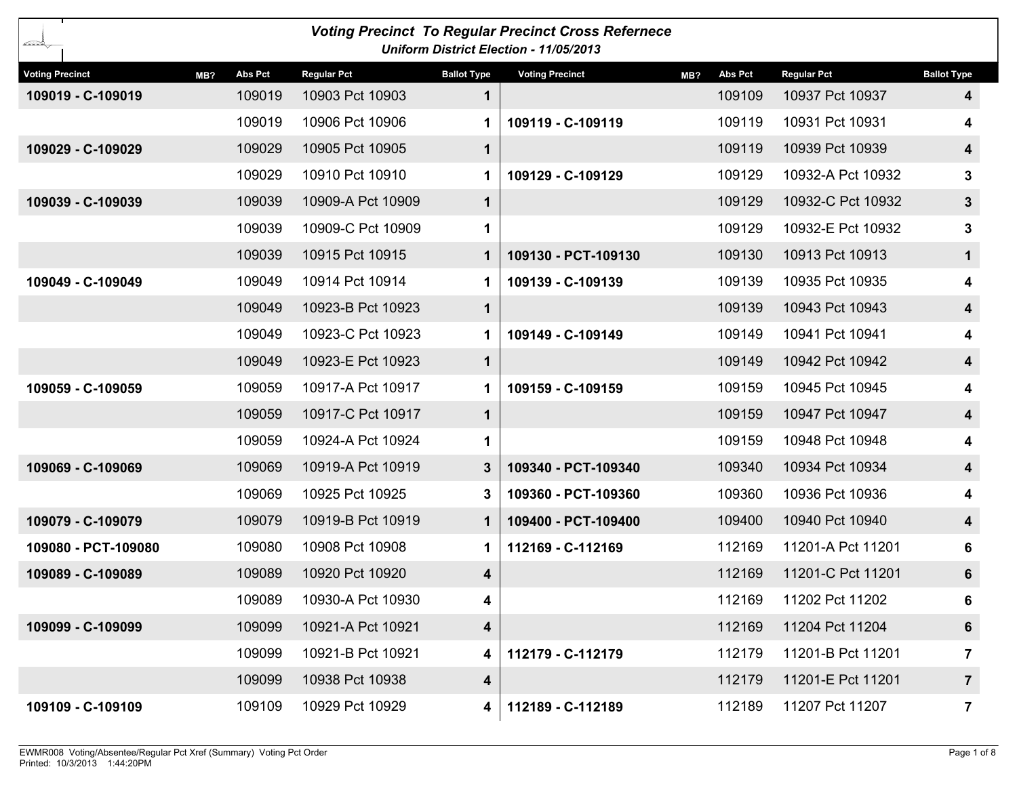| <b>Voting Precinct To Regular Precinct Cross Refernece</b><br><b>Uniform District Election - 11/05/2013</b> |                |                    |                    |                        |     |                |                    |                    |                         |  |
|-------------------------------------------------------------------------------------------------------------|----------------|--------------------|--------------------|------------------------|-----|----------------|--------------------|--------------------|-------------------------|--|
| <b>Voting Precinct</b><br>MB?                                                                               | <b>Abs Pct</b> | <b>Regular Pct</b> | <b>Ballot Type</b> | <b>Voting Precinct</b> | MB? | <b>Abs Pct</b> | <b>Regular Pct</b> | <b>Ballot Type</b> |                         |  |
| 109019 - C-109019                                                                                           | 109019         | 10903 Pct 10903    | 1                  |                        |     | 109109         | 10937 Pct 10937    |                    | 4                       |  |
|                                                                                                             | 109019         | 10906 Pct 10906    | 1                  | 109119 - C-109119      |     | 109119         | 10931 Pct 10931    |                    | 4                       |  |
| 109029 - C-109029                                                                                           | 109029         | 10905 Pct 10905    | $\mathbf 1$        |                        |     | 109119         | 10939 Pct 10939    |                    | $\overline{\mathbf{4}}$ |  |
|                                                                                                             | 109029         | 10910 Pct 10910    | 1.                 | 109129 - C-109129      |     | 109129         | 10932-A Pct 10932  |                    | 3                       |  |
| 109039 - C-109039                                                                                           | 109039         | 10909-A Pct 10909  | $\mathbf 1$        |                        |     | 109129         | 10932-C Pct 10932  |                    | $3\phantom{a}$          |  |
|                                                                                                             | 109039         | 10909-C Pct 10909  | 1                  |                        |     | 109129         | 10932-E Pct 10932  |                    | 3                       |  |
|                                                                                                             | 109039         | 10915 Pct 10915    | 1                  | 109130 - PCT-109130    |     | 109130         | 10913 Pct 10913    |                    | $\mathbf 1$             |  |
| 109049 - C-109049                                                                                           | 109049         | 10914 Pct 10914    | 1                  | 109139 - C-109139      |     | 109139         | 10935 Pct 10935    |                    | 4                       |  |
|                                                                                                             | 109049         | 10923-B Pct 10923  | 1                  |                        |     | 109139         | 10943 Pct 10943    |                    | $\overline{\mathbf{4}}$ |  |
|                                                                                                             | 109049         | 10923-C Pct 10923  | 1                  | 109149 - C-109149      |     | 109149         | 10941 Pct 10941    |                    | 4                       |  |
|                                                                                                             | 109049         | 10923-E Pct 10923  | 1                  |                        |     | 109149         | 10942 Pct 10942    |                    | $\overline{\mathbf{4}}$ |  |
| 109059 - C-109059                                                                                           | 109059         | 10917-A Pct 10917  | 1.                 | 109159 - C-109159      |     | 109159         | 10945 Pct 10945    |                    | 4                       |  |
|                                                                                                             | 109059         | 10917-C Pct 10917  | 1                  |                        |     | 109159         | 10947 Pct 10947    |                    | $\overline{\mathbf{4}}$ |  |
|                                                                                                             | 109059         | 10924-A Pct 10924  | 1                  |                        |     | 109159         | 10948 Pct 10948    |                    | 4                       |  |
| 109069 - C-109069                                                                                           | 109069         | 10919-A Pct 10919  | 3                  | 109340 - PCT-109340    |     | 109340         | 10934 Pct 10934    |                    | $\overline{\mathbf{4}}$ |  |
|                                                                                                             | 109069         | 10925 Pct 10925    | 3                  | 109360 - PCT-109360    |     | 109360         | 10936 Pct 10936    |                    | 4                       |  |
| 109079 - C-109079                                                                                           | 109079         | 10919-B Pct 10919  | 1                  | 109400 - PCT-109400    |     | 109400         | 10940 Pct 10940    |                    | $\overline{\mathbf{4}}$ |  |
| 109080 - PCT-109080                                                                                         | 109080         | 10908 Pct 10908    | 1                  | 112169 - C-112169      |     | 112169         | 11201-A Pct 11201  |                    | 6                       |  |
| 109089 - C-109089                                                                                           | 109089         | 10920 Pct 10920    | 4                  |                        |     | 112169         | 11201-C Pct 11201  |                    | 6                       |  |
|                                                                                                             | 109089         | 10930-A Pct 10930  | 4                  |                        |     | 112169         | 11202 Pct 11202    |                    | 6                       |  |
| 109099 - C-109099                                                                                           | 109099         | 10921-A Pct 10921  | 4                  |                        |     | 112169         | 11204 Pct 11204    |                    | 6                       |  |
|                                                                                                             | 109099         | 10921-B Pct 10921  | 4                  | 112179 - C-112179      |     | 112179         | 11201-B Pct 11201  |                    | 7                       |  |
|                                                                                                             | 109099         | 10938 Pct 10938    | 4                  |                        |     | 112179         | 11201-E Pct 11201  |                    | $\overline{7}$          |  |
| 109109 - C-109109                                                                                           | 109109         | 10929 Pct 10929    | 4                  | 112189 - C-112189      |     | 112189         | 11207 Pct 11207    |                    | 7                       |  |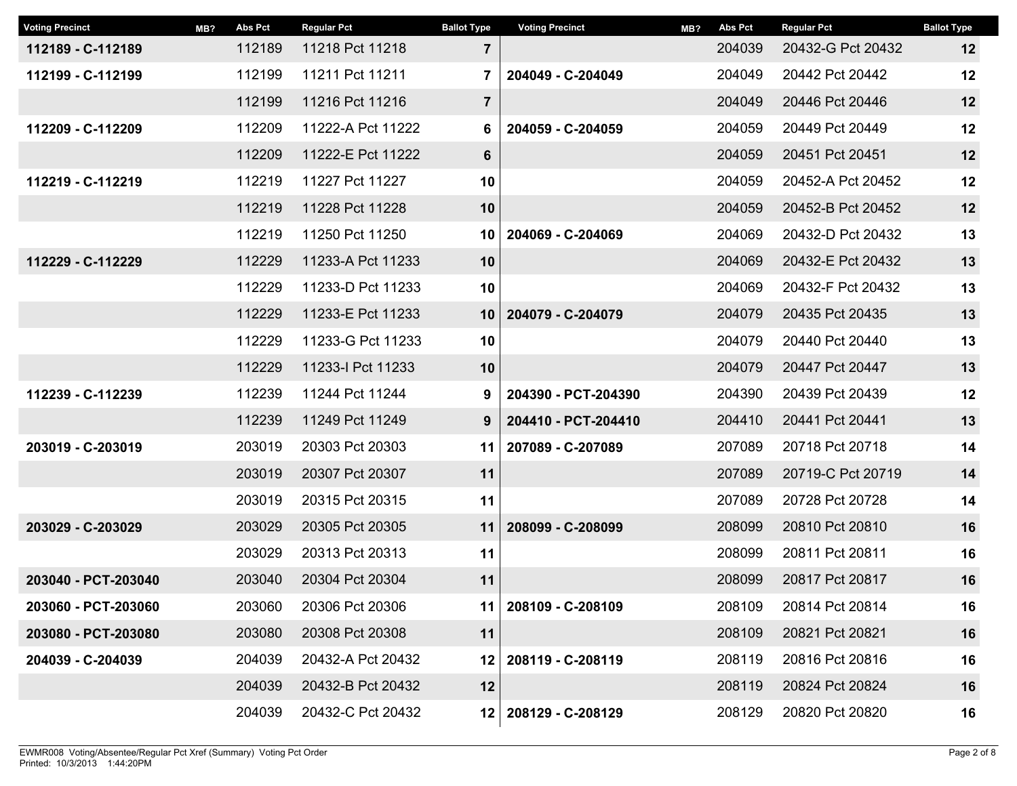| <b>Voting Precinct</b> | MB? | <b>Abs Pct</b> | <b>Regular Pct</b> | <b>Ballot Type</b> | <b>Voting Precinct</b> | MB? | <b>Abs Pct</b> | <b>Regular Pct</b> | <b>Ballot Type</b> |
|------------------------|-----|----------------|--------------------|--------------------|------------------------|-----|----------------|--------------------|--------------------|
| 112189 - C-112189      |     | 112189         | 11218 Pct 11218    | $\overline{7}$     |                        |     | 204039         | 20432-G Pct 20432  | 12                 |
| 112199 - C-112199      |     | 112199         | 11211 Pct 11211    | 7                  | 204049 - C-204049      |     | 204049         | 20442 Pct 20442    | 12                 |
|                        |     | 112199         | 11216 Pct 11216    | $\overline{7}$     |                        |     | 204049         | 20446 Pct 20446    | 12                 |
| 112209 - C-112209      |     | 112209         | 11222-A Pct 11222  | 6                  | 204059 - C-204059      |     | 204059         | 20449 Pct 20449    | 12                 |
|                        |     | 112209         | 11222-E Pct 11222  | 6                  |                        |     | 204059         | 20451 Pct 20451    | 12                 |
| 112219 - C-112219      |     | 112219         | 11227 Pct 11227    | 10                 |                        |     | 204059         | 20452-A Pct 20452  | 12                 |
|                        |     | 112219         | 11228 Pct 11228    | 10                 |                        |     | 204059         | 20452-B Pct 20452  | 12                 |
|                        |     | 112219         | 11250 Pct 11250    | 10                 | 204069 - C-204069      |     | 204069         | 20432-D Pct 20432  | 13                 |
| 112229 - C-112229      |     | 112229         | 11233-A Pct 11233  | 10                 |                        |     | 204069         | 20432-E Pct 20432  | 13                 |
|                        |     | 112229         | 11233-D Pct 11233  | 10                 |                        |     | 204069         | 20432-F Pct 20432  | 13                 |
|                        |     | 112229         | 11233-E Pct 11233  | 10                 | 204079 - C-204079      |     | 204079         | 20435 Pct 20435    | 13                 |
|                        |     | 112229         | 11233-G Pct 11233  | 10                 |                        |     | 204079         | 20440 Pct 20440    | 13                 |
|                        |     | 112229         | 11233-I Pct 11233  | 10                 |                        |     | 204079         | 20447 Pct 20447    | 13                 |
| 112239 - C-112239      |     | 112239         | 11244 Pct 11244    | 9                  | 204390 - PCT-204390    |     | 204390         | 20439 Pct 20439    | 12                 |
|                        |     | 112239         | 11249 Pct 11249    | 9                  | 204410 - PCT-204410    |     | 204410         | 20441 Pct 20441    | 13                 |
| 203019 - C-203019      |     | 203019         | 20303 Pct 20303    | 11                 | 207089 - C-207089      |     | 207089         | 20718 Pct 20718    | 14                 |
|                        |     | 203019         | 20307 Pct 20307    | 11                 |                        |     | 207089         | 20719-C Pct 20719  | 14                 |
|                        |     | 203019         | 20315 Pct 20315    | 11                 |                        |     | 207089         | 20728 Pct 20728    | 14                 |
| 203029 - C-203029      |     | 203029         | 20305 Pct 20305    | 11                 | 208099 - C-208099      |     | 208099         | 20810 Pct 20810    | 16                 |
|                        |     | 203029         | 20313 Pct 20313    | 11                 |                        |     | 208099         | 20811 Pct 20811    | 16                 |
| 203040 - PCT-203040    |     | 203040         | 20304 Pct 20304    | 11                 |                        |     | 208099         | 20817 Pct 20817    | 16                 |
| 203060 - PCT-203060    |     | 203060         | 20306 Pct 20306    | 11                 | 208109 - C-208109      |     | 208109         | 20814 Pct 20814    | 16                 |
| 203080 - PCT-203080    |     | 203080         | 20308 Pct 20308    | 11                 |                        |     | 208109         | 20821 Pct 20821    | 16                 |
| 204039 - C-204039      |     | 204039         | 20432-A Pct 20432  | 12                 | 208119 - C-208119      |     | 208119         | 20816 Pct 20816    | 16                 |
|                        |     | 204039         | 20432-B Pct 20432  | 12                 |                        |     | 208119         | 20824 Pct 20824    | 16                 |
|                        |     | 204039         | 20432-C Pct 20432  |                    | 12 208129 - C-208129   |     | 208129         | 20820 Pct 20820    | 16                 |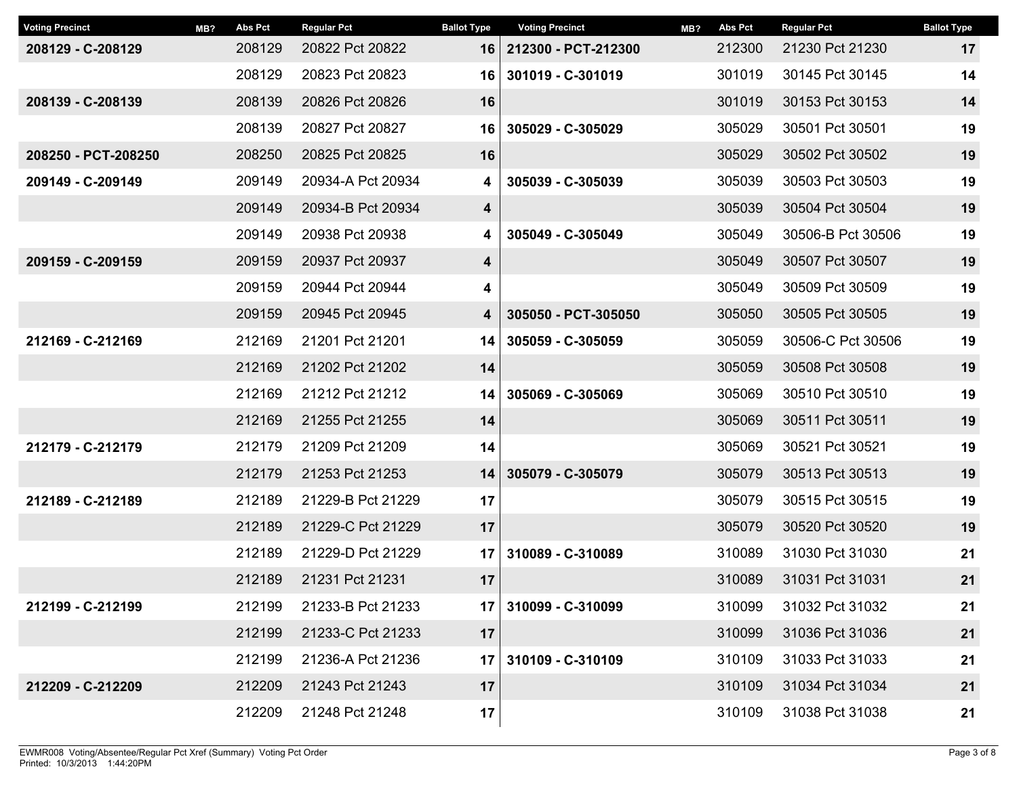| <b>Voting Precinct</b> | MB? | <b>Abs Pct</b> | <b>Regular Pct</b> | <b>Ballot Type</b> | <b>Voting Precinct</b> | MB? | <b>Abs Pct</b> | <b>Regular Pct</b> | <b>Ballot Type</b> |    |
|------------------------|-----|----------------|--------------------|--------------------|------------------------|-----|----------------|--------------------|--------------------|----|
| 208129 - C-208129      |     | 208129         | 20822 Pct 20822    | 16                 | 212300 - PCT-212300    |     | 212300         | 21230 Pct 21230    |                    | 17 |
|                        |     | 208129         | 20823 Pct 20823    | 16                 | 301019 - C-301019      |     | 301019         | 30145 Pct 30145    |                    | 14 |
| 208139 - C-208139      |     | 208139         | 20826 Pct 20826    | 16                 |                        |     | 301019         | 30153 Pct 30153    |                    | 14 |
|                        |     | 208139         | 20827 Pct 20827    | 16                 | 305029 - C-305029      |     | 305029         | 30501 Pct 30501    |                    | 19 |
| 208250 - PCT-208250    |     | 208250         | 20825 Pct 20825    | 16                 |                        |     | 305029         | 30502 Pct 30502    |                    | 19 |
| 209149 - C-209149      |     | 209149         | 20934-A Pct 20934  | 4                  | 305039 - C-305039      |     | 305039         | 30503 Pct 30503    |                    | 19 |
|                        |     | 209149         | 20934-B Pct 20934  | 4                  |                        |     | 305039         | 30504 Pct 30504    |                    | 19 |
|                        |     | 209149         | 20938 Pct 20938    | 4                  | 305049 - C-305049      |     | 305049         | 30506-B Pct 30506  |                    | 19 |
| 209159 - C-209159      |     | 209159         | 20937 Pct 20937    | 4                  |                        |     | 305049         | 30507 Pct 30507    |                    | 19 |
|                        |     | 209159         | 20944 Pct 20944    | 4                  |                        |     | 305049         | 30509 Pct 30509    |                    | 19 |
|                        |     | 209159         | 20945 Pct 20945    | 4                  | 305050 - PCT-305050    |     | 305050         | 30505 Pct 30505    |                    | 19 |
| 212169 - C-212169      |     | 212169         | 21201 Pct 21201    | 14                 | 305059 - C-305059      |     | 305059         | 30506-C Pct 30506  |                    | 19 |
|                        |     | 212169         | 21202 Pct 21202    | 14                 |                        |     | 305059         | 30508 Pct 30508    |                    | 19 |
|                        |     | 212169         | 21212 Pct 21212    | 14                 | 305069 - C-305069      |     | 305069         | 30510 Pct 30510    |                    | 19 |
|                        |     | 212169         | 21255 Pct 21255    | 14                 |                        |     | 305069         | 30511 Pct 30511    |                    | 19 |
| 212179 - C-212179      |     | 212179         | 21209 Pct 21209    | 14                 |                        |     | 305069         | 30521 Pct 30521    |                    | 19 |
|                        |     | 212179         | 21253 Pct 21253    | 14                 | 305079 - C-305079      |     | 305079         | 30513 Pct 30513    |                    | 19 |
| 212189 - C-212189      |     | 212189         | 21229-B Pct 21229  | 17                 |                        |     | 305079         | 30515 Pct 30515    |                    | 19 |
|                        |     | 212189         | 21229-C Pct 21229  | 17                 |                        |     | 305079         | 30520 Pct 30520    |                    | 19 |
|                        |     | 212189         | 21229-D Pct 21229  | 17                 | 310089 - C-310089      |     | 310089         | 31030 Pct 31030    |                    | 21 |
|                        |     | 212189         | 21231 Pct 21231    | 17                 |                        |     | 310089         | 31031 Pct 31031    |                    | 21 |
| 212199 - C-212199      |     | 212199         | 21233-B Pct 21233  | 17 <sup>1</sup>    | 310099 - C-310099      |     | 310099         | 31032 Pct 31032    |                    | 21 |
|                        |     | 212199         | 21233-C Pct 21233  | 17                 |                        |     | 310099         | 31036 Pct 31036    |                    | 21 |
|                        |     | 212199         | 21236-A Pct 21236  | 17 <sup>1</sup>    | 310109 - C-310109      |     | 310109         | 31033 Pct 31033    |                    | 21 |
| 212209 - C-212209      |     | 212209         | 21243 Pct 21243    | 17                 |                        |     | 310109         | 31034 Pct 31034    |                    | 21 |
|                        |     | 212209         | 21248 Pct 21248    | 17                 |                        |     | 310109         | 31038 Pct 31038    |                    | 21 |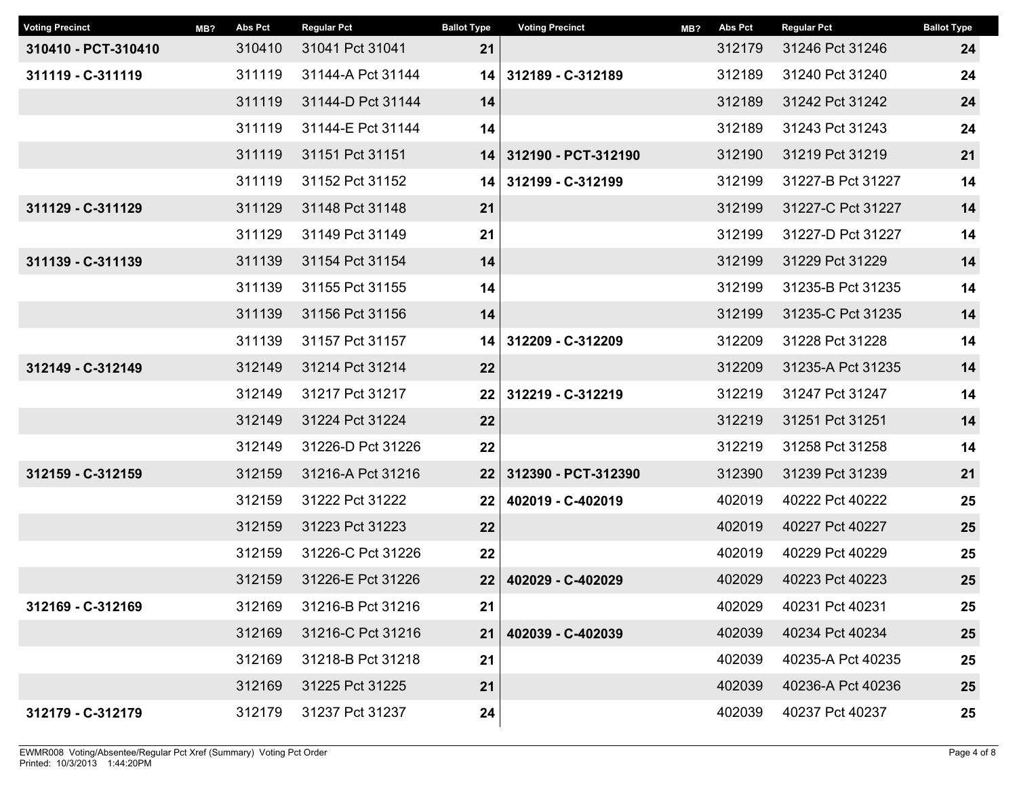| <b>Voting Precinct</b> | MB? | <b>Abs Pct</b> | <b>Regular Pct</b> | <b>Ballot Type</b> | <b>Voting Precinct</b> | MB? | <b>Abs Pct</b> | <b>Regular Pct</b> | <b>Ballot Type</b> |    |
|------------------------|-----|----------------|--------------------|--------------------|------------------------|-----|----------------|--------------------|--------------------|----|
| 310410 - PCT-310410    |     | 310410         | 31041 Pct 31041    | 21                 |                        |     | 312179         | 31246 Pct 31246    |                    | 24 |
| 311119 - C-311119      |     | 311119         | 31144-A Pct 31144  | 14 I               | 312189 - C-312189      |     | 312189         | 31240 Pct 31240    |                    | 24 |
|                        |     | 311119         | 31144-D Pct 31144  | 14                 |                        |     | 312189         | 31242 Pct 31242    |                    | 24 |
|                        |     | 311119         | 31144-E Pct 31144  | 14                 |                        |     | 312189         | 31243 Pct 31243    |                    | 24 |
|                        |     | 311119         | 31151 Pct 31151    | 14                 | 312190 - PCT-312190    |     | 312190         | 31219 Pct 31219    |                    | 21 |
|                        |     | 311119         | 31152 Pct 31152    | 14                 | 312199 - C-312199      |     | 312199         | 31227-B Pct 31227  |                    | 14 |
| 311129 - C-311129      |     | 311129         | 31148 Pct 31148    | 21                 |                        |     | 312199         | 31227-C Pct 31227  |                    | 14 |
|                        |     | 311129         | 31149 Pct 31149    | 21                 |                        |     | 312199         | 31227-D Pct 31227  |                    | 14 |
| 311139 - C-311139      |     | 311139         | 31154 Pct 31154    | 14                 |                        |     | 312199         | 31229 Pct 31229    |                    | 14 |
|                        |     | 311139         | 31155 Pct 31155    | 14                 |                        |     | 312199         | 31235-B Pct 31235  |                    | 14 |
|                        |     | 311139         | 31156 Pct 31156    | 14                 |                        |     | 312199         | 31235-C Pct 31235  |                    | 14 |
|                        |     | 311139         | 31157 Pct 31157    | 14 <sup>1</sup>    | 312209 - C-312209      |     | 312209         | 31228 Pct 31228    |                    | 14 |
| 312149 - C-312149      |     | 312149         | 31214 Pct 31214    | 22                 |                        |     | 312209         | 31235-A Pct 31235  |                    | 14 |
|                        |     | 312149         | 31217 Pct 31217    | 22                 | 312219 - C-312219      |     | 312219         | 31247 Pct 31247    |                    | 14 |
|                        |     | 312149         | 31224 Pct 31224    | 22                 |                        |     | 312219         | 31251 Pct 31251    |                    | 14 |
|                        |     | 312149         | 31226-D Pct 31226  | 22                 |                        |     | 312219         | 31258 Pct 31258    |                    | 14 |
| 312159 - C-312159      |     | 312159         | 31216-A Pct 31216  | 22                 | 312390 - PCT-312390    |     | 312390         | 31239 Pct 31239    |                    | 21 |
|                        |     | 312159         | 31222 Pct 31222    | 22                 | 402019 - C-402019      |     | 402019         | 40222 Pct 40222    |                    | 25 |
|                        |     | 312159         | 31223 Pct 31223    | 22                 |                        |     | 402019         | 40227 Pct 40227    |                    | 25 |
|                        |     | 312159         | 31226-C Pct 31226  | 22                 |                        |     | 402019         | 40229 Pct 40229    |                    | 25 |
|                        |     | 312159         | 31226-E Pct 31226  | 22                 | 402029 - C-402029      |     | 402029         | 40223 Pct 40223    |                    | 25 |
| 312169 - C-312169      |     | 312169         | 31216-B Pct 31216  | 21                 |                        |     | 402029         | 40231 Pct 40231    |                    | 25 |
|                        |     | 312169         | 31216-C Pct 31216  | 21                 | 402039 - C-402039      |     | 402039         | 40234 Pct 40234    |                    | 25 |
|                        |     | 312169         | 31218-B Pct 31218  | 21                 |                        |     | 402039         | 40235-A Pct 40235  |                    | 25 |
|                        |     | 312169         | 31225 Pct 31225    | 21                 |                        |     | 402039         | 40236-A Pct 40236  |                    | 25 |
| 312179 - C-312179      |     | 312179         | 31237 Pct 31237    | 24                 |                        |     | 402039         | 40237 Pct 40237    |                    | 25 |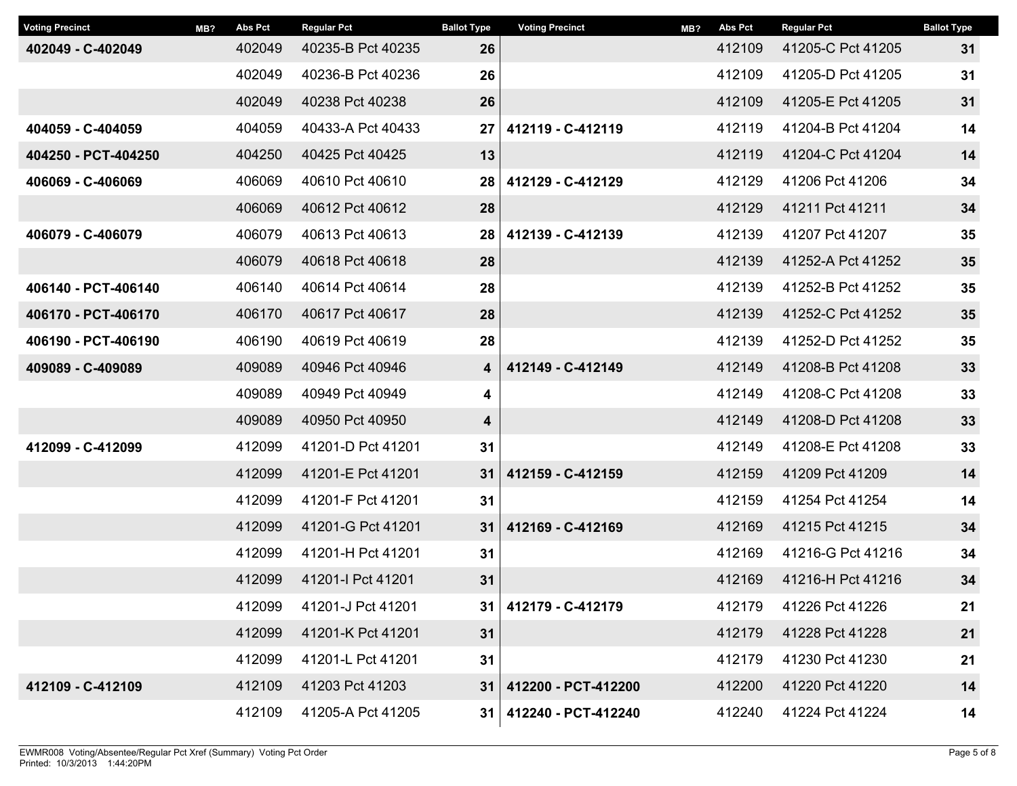| <b>Voting Precinct</b> | MB? | <b>Abs Pct</b> | <b>Regular Pct</b> | <b>Ballot Type</b> | <b>Voting Precinct</b> | MB? | <b>Abs Pct</b> | <b>Regular Pct</b> | <b>Ballot Type</b> |
|------------------------|-----|----------------|--------------------|--------------------|------------------------|-----|----------------|--------------------|--------------------|
| 402049 - C-402049      |     | 402049         | 40235-B Pct 40235  | 26                 |                        |     | 412109         | 41205-C Pct 41205  | 31                 |
|                        |     | 402049         | 40236-B Pct 40236  | 26                 |                        |     | 412109         | 41205-D Pct 41205  | 31                 |
|                        |     | 402049         | 40238 Pct 40238    | 26                 |                        |     | 412109         | 41205-E Pct 41205  | 31                 |
| 404059 - C-404059      |     | 404059         | 40433-A Pct 40433  | 27                 | 412119 - C-412119      |     | 412119         | 41204-B Pct 41204  | 14                 |
| 404250 - PCT-404250    |     | 404250         | 40425 Pct 40425    | 13                 |                        |     | 412119         | 41204-C Pct 41204  | 14                 |
| 406069 - C-406069      |     | 406069         | 40610 Pct 40610    | 28                 | 412129 - C-412129      |     | 412129         | 41206 Pct 41206    | 34                 |
|                        |     | 406069         | 40612 Pct 40612    | 28                 |                        |     | 412129         | 41211 Pct 41211    | 34                 |
| 406079 - C-406079      |     | 406079         | 40613 Pct 40613    | 28                 | 412139 - C-412139      |     | 412139         | 41207 Pct 41207    | 35                 |
|                        |     | 406079         | 40618 Pct 40618    | 28                 |                        |     | 412139         | 41252-A Pct 41252  | 35                 |
| 406140 - PCT-406140    |     | 406140         | 40614 Pct 40614    | 28                 |                        |     | 412139         | 41252-B Pct 41252  | 35                 |
| 406170 - PCT-406170    |     | 406170         | 40617 Pct 40617    | 28                 |                        |     | 412139         | 41252-C Pct 41252  | 35                 |
| 406190 - PCT-406190    |     | 406190         | 40619 Pct 40619    | 28                 |                        |     | 412139         | 41252-D Pct 41252  | 35                 |
| 409089 - C-409089      |     | 409089         | 40946 Pct 40946    | 4                  | 412149 - C-412149      |     | 412149         | 41208-B Pct 41208  | 33                 |
|                        |     | 409089         | 40949 Pct 40949    | 4                  |                        |     | 412149         | 41208-C Pct 41208  | 33                 |
|                        |     | 409089         | 40950 Pct 40950    | 4                  |                        |     | 412149         | 41208-D Pct 41208  | 33                 |
| 412099 - C-412099      |     | 412099         | 41201-D Pct 41201  | 31                 |                        |     | 412149         | 41208-E Pct 41208  | 33                 |
|                        |     | 412099         | 41201-E Pct 41201  | 31                 | 412159 - C-412159      |     | 412159         | 41209 Pct 41209    | 14                 |
|                        |     | 412099         | 41201-F Pct 41201  | 31                 |                        |     | 412159         | 41254 Pct 41254    | 14                 |
|                        |     | 412099         | 41201-G Pct 41201  | 31                 | 412169 - C-412169      |     | 412169         | 41215 Pct 41215    | 34                 |
|                        |     | 412099         | 41201-H Pct 41201  | 31                 |                        |     | 412169         | 41216-G Pct 41216  | 34                 |
|                        |     | 412099         | 41201-I Pct 41201  | 31                 |                        |     | 412169         | 41216-H Pct 41216  | 34                 |
|                        |     | 412099         | 41201-J Pct 41201  | 31                 | 412179 - C-412179      |     | 412179         | 41226 Pct 41226    | 21                 |
|                        |     | 412099         | 41201-K Pct 41201  | 31                 |                        |     | 412179         | 41228 Pct 41228    | 21                 |
|                        |     | 412099         | 41201-L Pct 41201  | 31                 |                        |     | 412179         | 41230 Pct 41230    | 21                 |
| 412109 - C-412109      |     | 412109         | 41203 Pct 41203    | 31                 | 412200 - PCT-412200    |     | 412200         | 41220 Pct 41220    | 14                 |
|                        |     | 412109         | 41205-A Pct 41205  |                    | 31 412240 - PCT-412240 |     | 412240         | 41224 Pct 41224    | 14                 |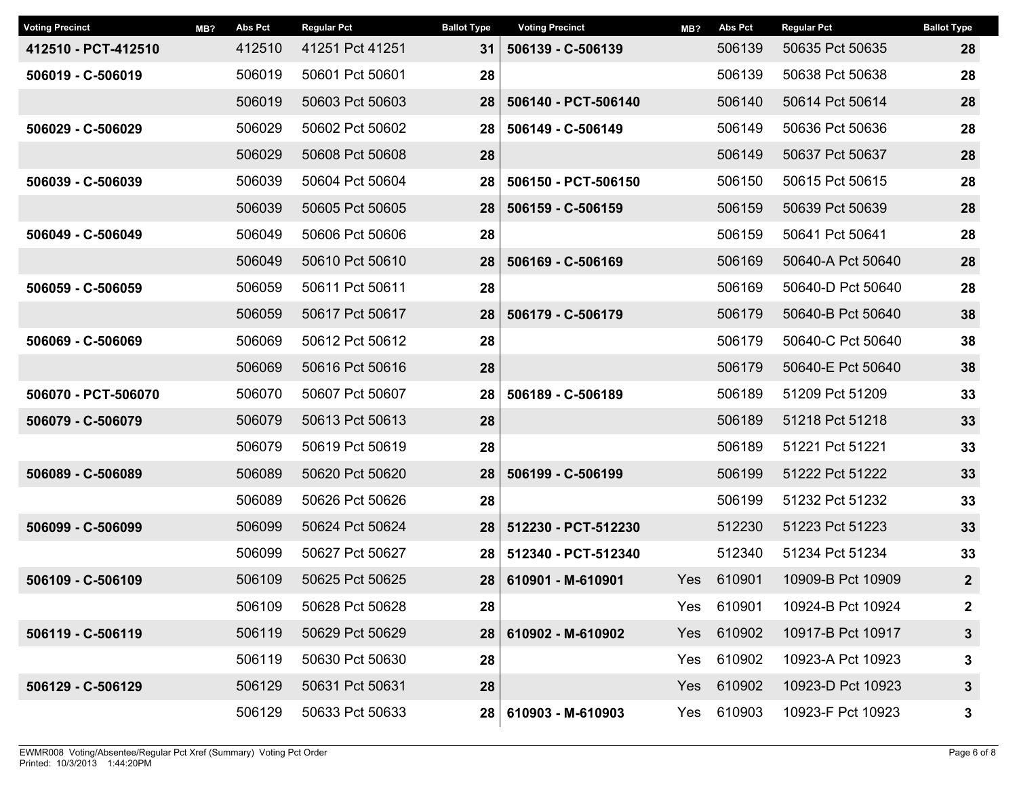| <b>Voting Precinct</b> | MB? | <b>Abs Pct</b> | <b>Regular Pct</b> | <b>Ballot Type</b> | <b>Voting Precinct</b> | MB?        | <b>Abs Pct</b> | <b>Regular Pct</b> | <b>Ballot Type</b> |
|------------------------|-----|----------------|--------------------|--------------------|------------------------|------------|----------------|--------------------|--------------------|
| 412510 - PCT-412510    |     | 412510         | 41251 Pct 41251    | 31                 | 506139 - C-506139      |            | 506139         | 50635 Pct 50635    | 28                 |
| 506019 - C-506019      |     | 506019         | 50601 Pct 50601    | 28                 |                        |            | 506139         | 50638 Pct 50638    | 28                 |
|                        |     | 506019         | 50603 Pct 50603    | 28                 | 506140 - PCT-506140    |            | 506140         | 50614 Pct 50614    | 28                 |
| 506029 - C-506029      |     | 506029         | 50602 Pct 50602    | 28                 | 506149 - C-506149      |            | 506149         | 50636 Pct 50636    | 28                 |
|                        |     | 506029         | 50608 Pct 50608    | 28                 |                        |            | 506149         | 50637 Pct 50637    | 28                 |
| 506039 - C-506039      |     | 506039         | 50604 Pct 50604    | 28                 | 506150 - PCT-506150    |            | 506150         | 50615 Pct 50615    | 28                 |
|                        |     | 506039         | 50605 Pct 50605    | 28                 | 506159 - C-506159      |            | 506159         | 50639 Pct 50639    | 28                 |
| 506049 - C-506049      |     | 506049         | 50606 Pct 50606    | 28                 |                        |            | 506159         | 50641 Pct 50641    | 28                 |
|                        |     | 506049         | 50610 Pct 50610    | 28                 | 506169 - C-506169      |            | 506169         | 50640-A Pct 50640  | 28                 |
| 506059 - C-506059      |     | 506059         | 50611 Pct 50611    | 28                 |                        |            | 506169         | 50640-D Pct 50640  | 28                 |
|                        |     | 506059         | 50617 Pct 50617    | 28                 | 506179 - C-506179      |            | 506179         | 50640-B Pct 50640  | 38                 |
| 506069 - C-506069      |     | 506069         | 50612 Pct 50612    | 28                 |                        |            | 506179         | 50640-C Pct 50640  | 38                 |
|                        |     | 506069         | 50616 Pct 50616    | 28                 |                        |            | 506179         | 50640-E Pct 50640  | 38                 |
| 506070 - PCT-506070    |     | 506070         | 50607 Pct 50607    | 28                 | 506189 - C-506189      |            | 506189         | 51209 Pct 51209    | 33                 |
| 506079 - C-506079      |     | 506079         | 50613 Pct 50613    | 28                 |                        |            | 506189         | 51218 Pct 51218    | 33                 |
|                        |     | 506079         | 50619 Pct 50619    | 28                 |                        |            | 506189         | 51221 Pct 51221    | 33                 |
| 506089 - C-506089      |     | 506089         | 50620 Pct 50620    | 28                 | 506199 - C-506199      |            | 506199         | 51222 Pct 51222    | 33                 |
|                        |     | 506089         | 50626 Pct 50626    | 28                 |                        |            | 506199         | 51232 Pct 51232    | 33                 |
| 506099 - C-506099      |     | 506099         | 50624 Pct 50624    | 28                 | 512230 - PCT-512230    |            | 512230         | 51223 Pct 51223    | 33                 |
|                        |     | 506099         | 50627 Pct 50627    | 28                 | 512340 - PCT-512340    |            | 512340         | 51234 Pct 51234    | 33                 |
| 506109 - C-506109      |     | 506109         | 50625 Pct 50625    | 28                 | 610901 - M-610901      | <b>Yes</b> | 610901         | 10909-B Pct 10909  | $\boldsymbol{2}$   |
|                        |     | 506109         | 50628 Pct 50628    | 28                 |                        | Yes        | 610901         | 10924-B Pct 10924  | 2                  |
| 506119 - C-506119      |     | 506119         | 50629 Pct 50629    | 28                 | 610902 - M-610902      |            | Yes 610902     | 10917-B Pct 10917  | 3                  |
|                        |     | 506119         | 50630 Pct 50630    | 28                 |                        | Yes        | 610902         | 10923-A Pct 10923  | 3                  |
| 506129 - C-506129      |     | 506129         | 50631 Pct 50631    | 28                 |                        |            | Yes 610902     | 10923-D Pct 10923  | 3                  |
|                        |     | 506129         | 50633 Pct 50633    |                    | 28   610903 - M-610903 | Yes        | 610903         | 10923-F Pct 10923  | 3                  |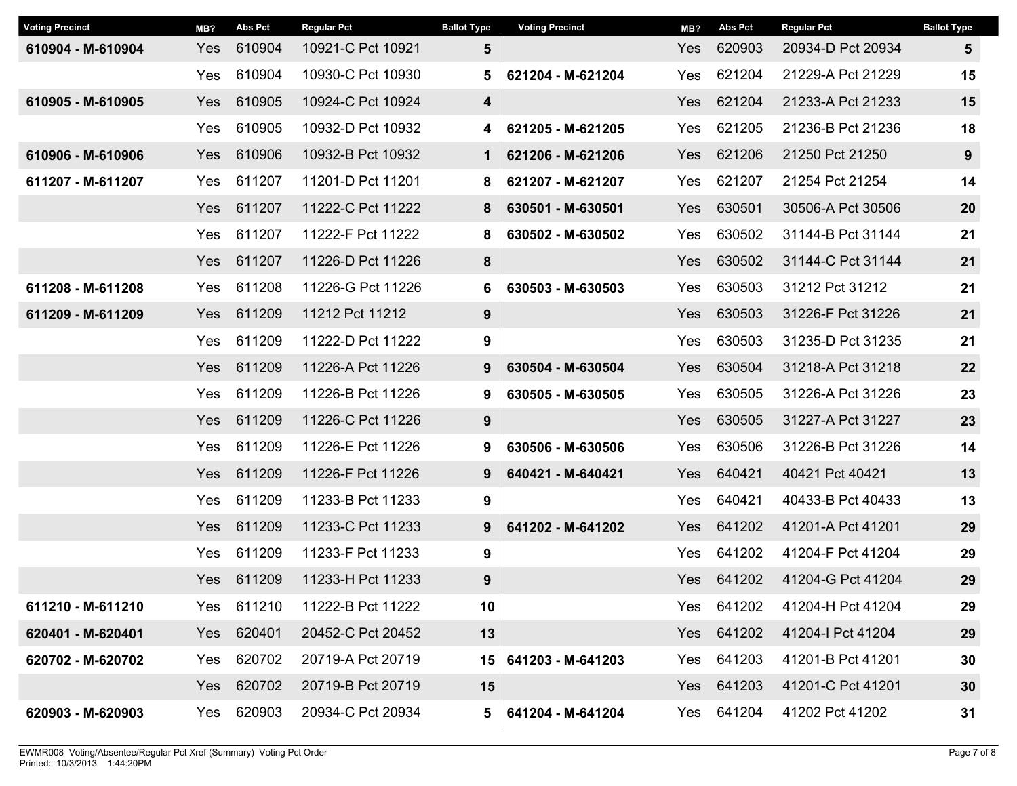| <b>Voting Precinct</b> | MB?        | <b>Abs Pct</b> | <b>Regular Pct</b> | <b>Ballot Type</b> | <b>Voting Precinct</b> | MB?        | <b>Abs Pct</b> | <b>Regular Pct</b> | <b>Ballot Type</b> |
|------------------------|------------|----------------|--------------------|--------------------|------------------------|------------|----------------|--------------------|--------------------|
| 610904 - M-610904      | Yes        | 610904         | 10921-C Pct 10921  | 5                  |                        | <b>Yes</b> | 620903         | 20934-D Pct 20934  | 5                  |
|                        | Yes        | 610904         | 10930-C Pct 10930  | 5                  | 621204 - M-621204      | Yes        | 621204         | 21229-A Pct 21229  | 15                 |
| 610905 - M-610905      | Yes        | 610905         | 10924-C Pct 10924  | 4                  |                        | <b>Yes</b> | 621204         | 21233-A Pct 21233  | 15                 |
|                        | Yes        | 610905         | 10932-D Pct 10932  | 4                  | 621205 - M-621205      | Yes        | 621205         | 21236-B Pct 21236  | 18                 |
| 610906 - M-610906      | Yes        | 610906         | 10932-B Pct 10932  | $\mathbf 1$        | 621206 - M-621206      | Yes        | 621206         | 21250 Pct 21250    | $\boldsymbol{9}$   |
| 611207 - M-611207      | Yes        | 611207         | 11201-D Pct 11201  | 8                  | 621207 - M-621207      | Yes        | 621207         | 21254 Pct 21254    | 14                 |
|                        | Yes        | 611207         | 11222-C Pct 11222  | 8                  | 630501 - M-630501      | Yes        | 630501         | 30506-A Pct 30506  | 20                 |
|                        | Yes        | 611207         | 11222-F Pct 11222  | 8                  | 630502 - M-630502      | Yes        | 630502         | 31144-B Pct 31144  | 21                 |
|                        | Yes        | 611207         | 11226-D Pct 11226  | 8                  |                        | Yes        | 630502         | 31144-C Pct 31144  | 21                 |
| 611208 - M-611208      | Yes        | 611208         | 11226-G Pct 11226  | 6                  | 630503 - M-630503      | Yes        | 630503         | 31212 Pct 31212    | 21                 |
| 611209 - M-611209      | Yes        | 611209         | 11212 Pct 11212    | 9                  |                        | <b>Yes</b> | 630503         | 31226-F Pct 31226  | 21                 |
|                        | Yes        | 611209         | 11222-D Pct 11222  | 9                  |                        | Yes        | 630503         | 31235-D Pct 31235  | 21                 |
|                        | Yes        | 611209         | 11226-A Pct 11226  | 9                  | 630504 - M-630504      | Yes        | 630504         | 31218-A Pct 31218  | 22                 |
|                        | Yes        | 611209         | 11226-B Pct 11226  | 9                  | 630505 - M-630505      | Yes        | 630505         | 31226-A Pct 31226  | 23                 |
|                        | Yes        | 611209         | 11226-C Pct 11226  | 9                  |                        | <b>Yes</b> | 630505         | 31227-A Pct 31227  | 23                 |
|                        | Yes        | 611209         | 11226-E Pct 11226  | 9                  | 630506 - M-630506      | Yes        | 630506         | 31226-B Pct 31226  | 14                 |
|                        | Yes        | 611209         | 11226-F Pct 11226  | 9                  | 640421 - M-640421      | Yes        | 640421         | 40421 Pct 40421    | 13                 |
|                        | Yes        | 611209         | 11233-B Pct 11233  | 9                  |                        | Yes        | 640421         | 40433-B Pct 40433  | 13                 |
|                        | Yes        | 611209         | 11233-C Pct 11233  | 9                  | 641202 - M-641202      | Yes        | 641202         | 41201-A Pct 41201  | 29                 |
|                        | Yes        | 611209         | 11233-F Pct 11233  | 9                  |                        | Yes        | 641202         | 41204-F Pct 41204  | 29                 |
|                        | <b>Yes</b> | 611209         | 11233-H Pct 11233  | 9                  |                        | <b>Yes</b> | 641202         | 41204-G Pct 41204  | 29                 |
| 611210 - M-611210      | Yes        | 611210         | 11222-B Pct 11222  | 10                 |                        | Yes        | 641202         | 41204-H Pct 41204  | 29                 |
| 620401 - M-620401      | Yes        | 620401         | 20452-C Pct 20452  | 13                 |                        |            | Yes 641202     | 41204-I Pct 41204  | 29                 |
| 620702 - M-620702      | Yes        | 620702         | 20719-A Pct 20719  | 15                 | 641203 - M-641203      | Yes        | 641203         | 41201-B Pct 41201  | 30                 |
|                        | Yes        | 620702         | 20719-B Pct 20719  | 15                 |                        |            | Yes 641203     | 41201-C Pct 41201  | 30                 |
| 620903 - M-620903      | Yes        | 620903         | 20934-C Pct 20934  | 5                  | 641204 - M-641204      |            | Yes 641204     | 41202 Pct 41202    | 31                 |
|                        |            |                |                    |                    |                        |            |                |                    |                    |